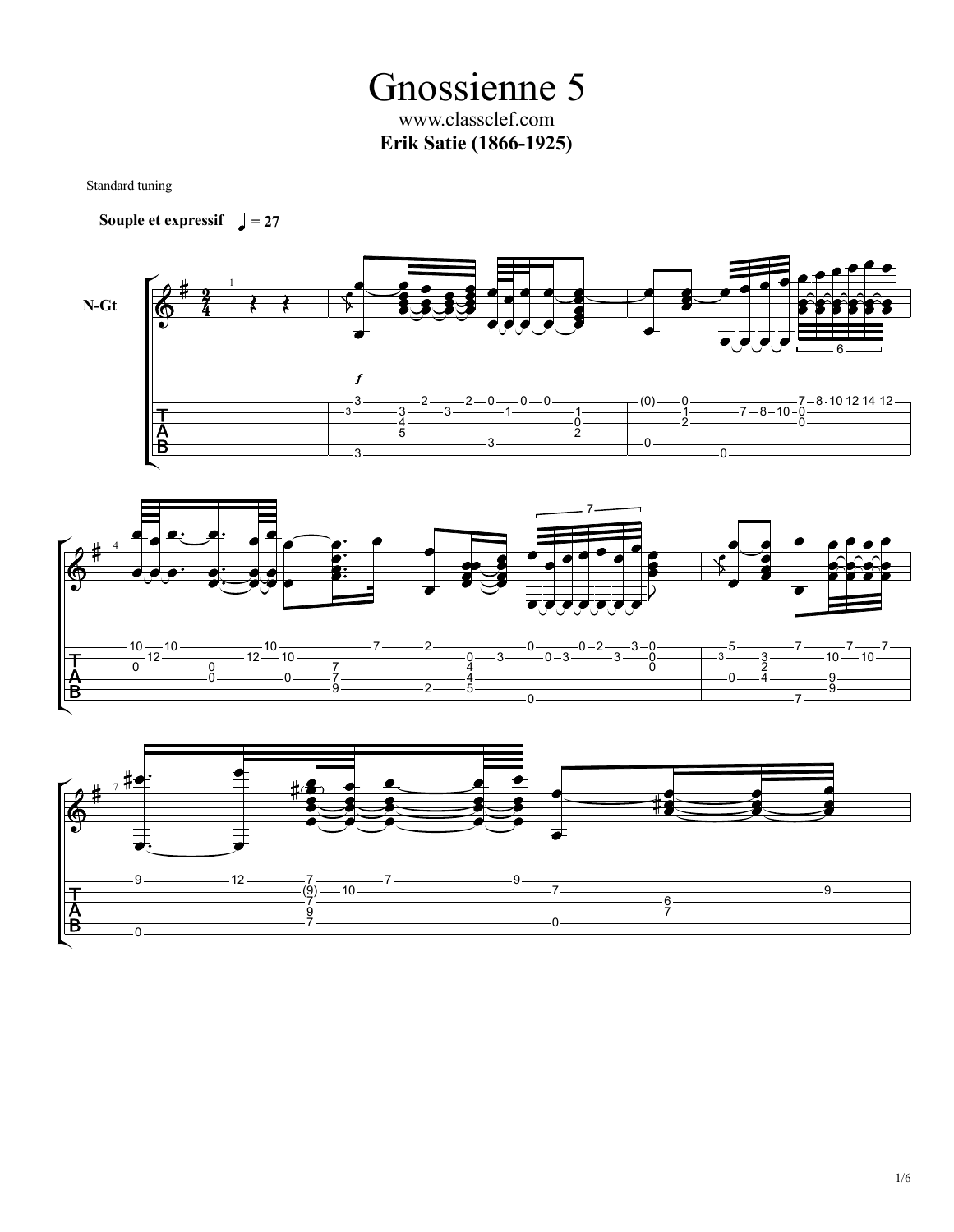Gnossienne 5 www.classclef.com **Erik Satie (1866-1925)**

Standard tuning

**Souple et expressif**  $\boldsymbol{z} = 27$ 





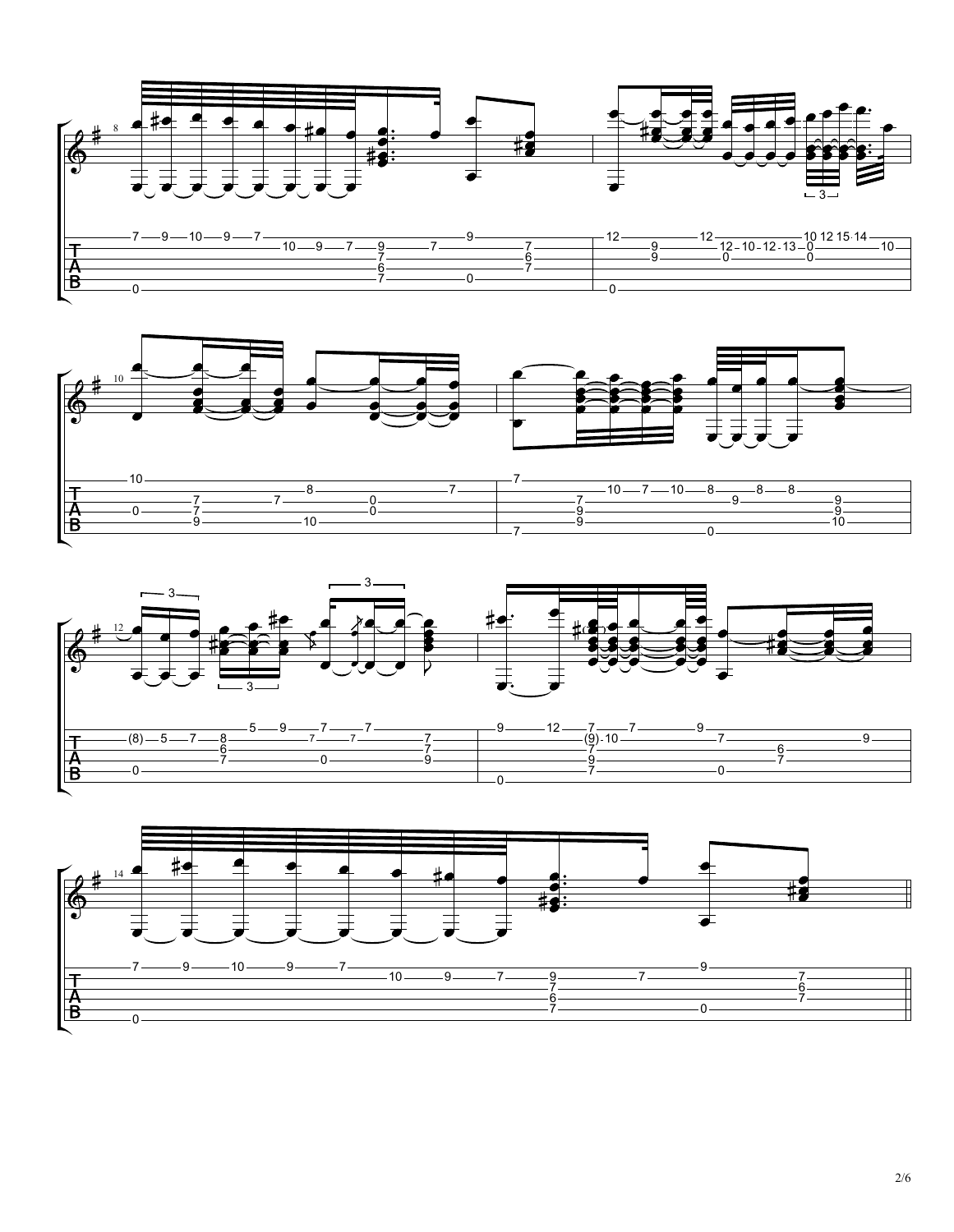





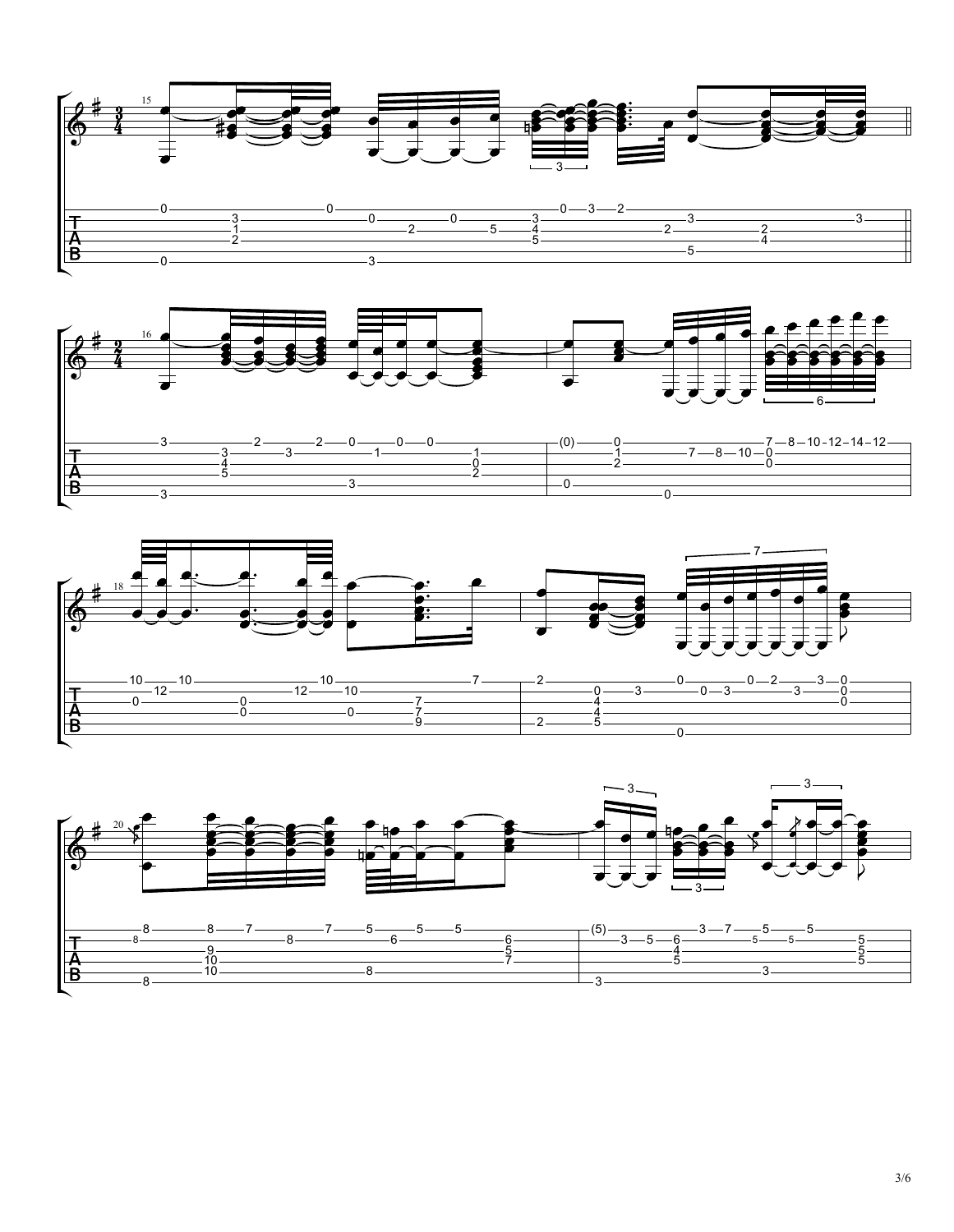





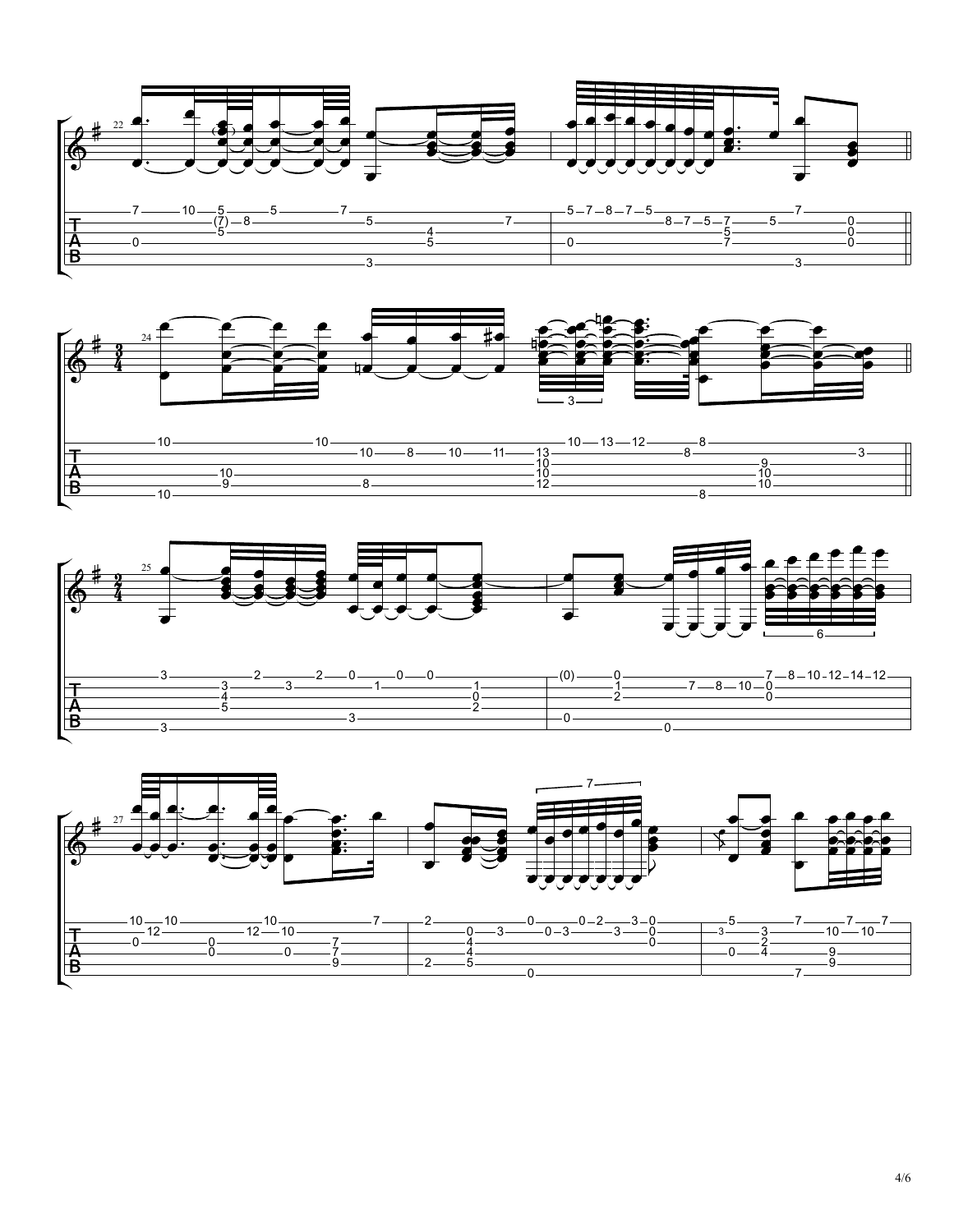





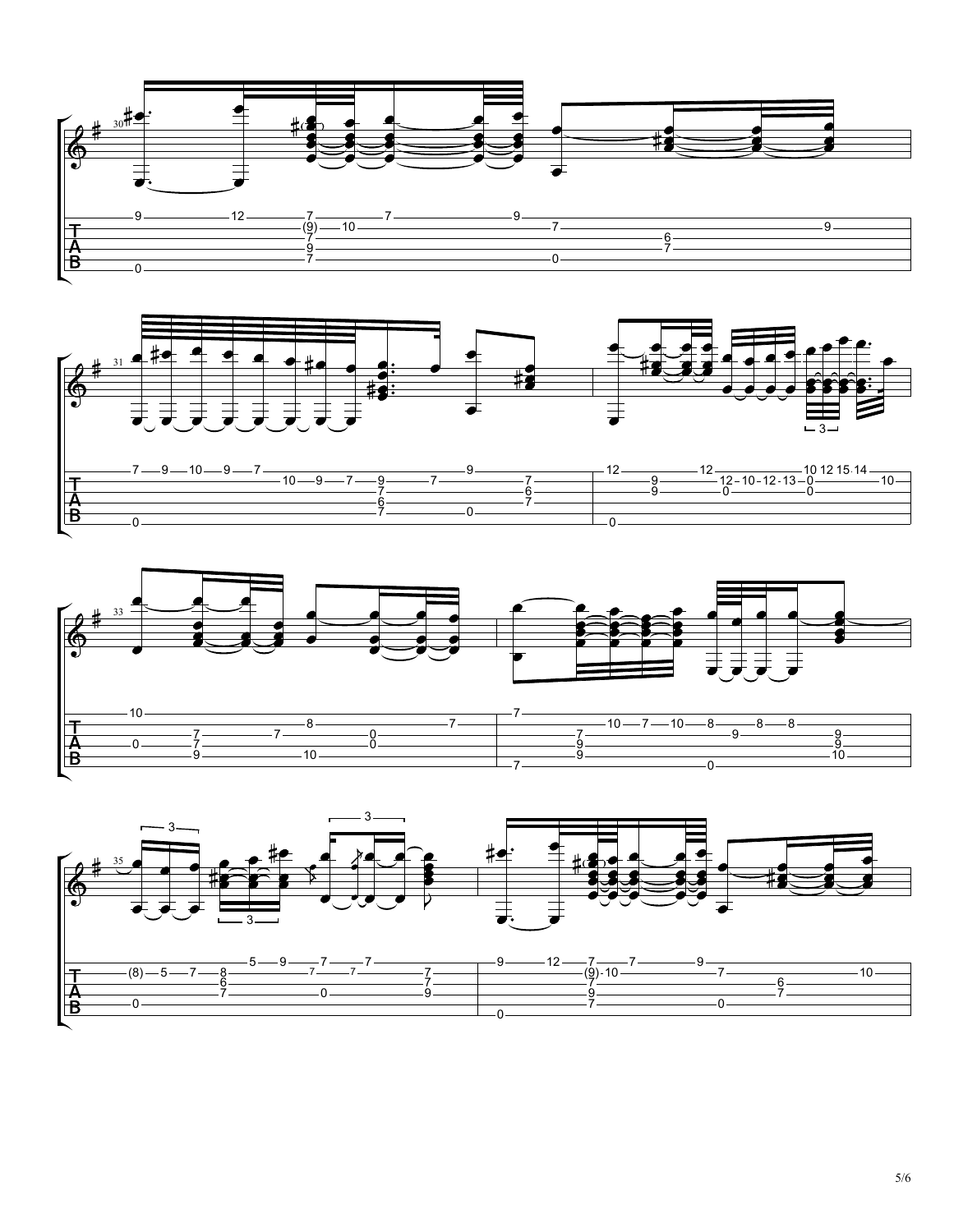